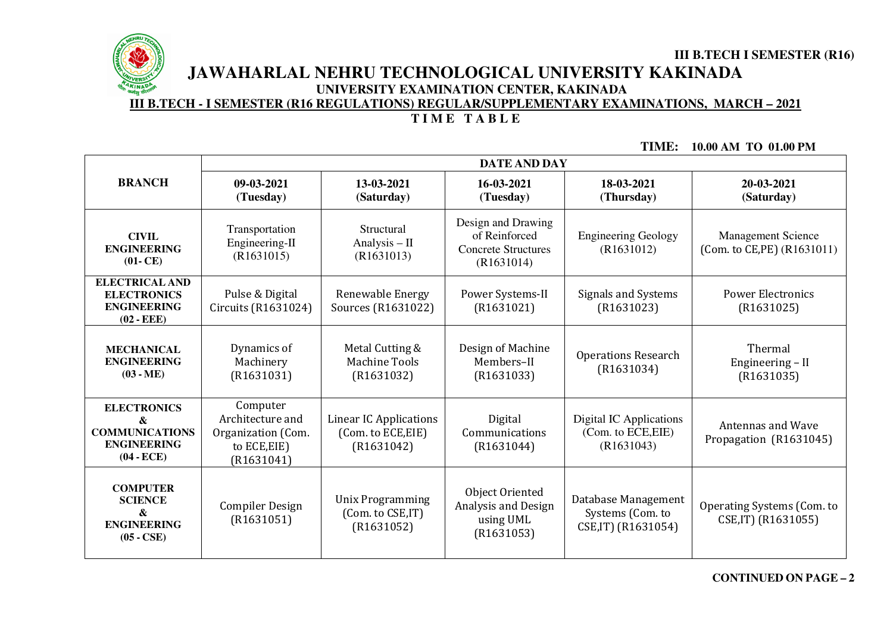

# **III B.TECH I SEMESTER (R16) JAWAHARLAL NEHRU TECHNOLOGICAL UNIVERSITY KAKINADAUNIVERSITY EXAMINATION CENTER, KAKINADA**

**III B.TECH - I SEMESTER (R16 REGULATIONS) REGULAR/SUPPLEMENTARY EXAMINATIONS, MARCH – 2021**

# **T I M E T A B L E**

**TIME: 10.00 AM TO 01.00 PM**

|                                                                                        | <b>DATE AND DAY</b>                                                              |                                                                   |                                                                                 |                                                                |                                                          |
|----------------------------------------------------------------------------------------|----------------------------------------------------------------------------------|-------------------------------------------------------------------|---------------------------------------------------------------------------------|----------------------------------------------------------------|----------------------------------------------------------|
| <b>BRANCH</b>                                                                          | 09-03-2021<br>(Tuesday)                                                          | 13-03-2021<br>(Saturday)                                          | 16-03-2021<br>(Tuesday)                                                         | 18-03-2021<br>(Thursday)                                       | 20-03-2021<br>(Saturday)                                 |
| <b>CIVIL</b><br><b>ENGINEERING</b><br>$(01 - CE)$                                      | Transportation<br>Engineering-II<br>(R1631015)                                   | Structural<br>Analysis $-$ II<br>(R1631013)                       | Design and Drawing<br>of Reinforced<br><b>Concrete Structures</b><br>(R1631014) | <b>Engineering Geology</b><br>(R1631012)                       | <b>Management Science</b><br>(Com. to CE, PE) (R1631011) |
| <b>ELECTRICAL AND</b><br><b>ELECTRONICS</b><br><b>ENGINEERING</b><br>$(02 - EEE)$      | Pulse & Digital<br>Circuits (R1631024)                                           | Renewable Energy<br>Sources (R1631022)                            | Power Systems-II<br>(R1631021)                                                  | <b>Signals and Systems</b><br>(R1631023)                       | <b>Power Electronics</b><br>(R1631025)                   |
| <b>MECHANICAL</b><br><b>ENGINEERING</b><br>$(03 - ME)$                                 | Dynamics of<br>Machinery<br>(R1631031)                                           | Metal Cutting &<br><b>Machine Tools</b><br>(R1631032)             | Design of Machine<br>Members-II<br>(R1631033)                                   | <b>Operations Research</b><br>(R1631034)                       | Thermal<br>Engineering - II<br>(R1631035)                |
| <b>ELECTRONICS</b><br>&<br><b>COMMUNICATIONS</b><br><b>ENGINEERING</b><br>$(04 - ECE)$ | Computer<br>Architecture and<br>Organization (Com.<br>to ECE, EIE)<br>(R1631041) | <b>Linear IC Applications</b><br>(Com. to ECE, EIE)<br>(R1631042) | Digital<br>Communications<br>(R1631044)                                         | Digital IC Applications<br>(Com. to ECE, EIE)<br>(R1631043)    | <b>Antennas and Wave</b><br>Propagation (R1631045)       |
| <b>COMPUTER</b><br><b>SCIENCE</b><br>&<br><b>ENGINEERING</b><br>$(05 - CSE)$           | <b>Compiler Design</b><br>(R1631051)                                             | <b>Unix Programming</b><br>(Com. to CSE,IT)<br>(R1631052)         | Object Oriented<br>Analysis and Design<br>using UML<br>(R1631053)               | Database Management<br>Systems (Com. to<br>CSE, IT) (R1631054) | Operating Systems (Com. to<br>CSE, IT) (R1631055)        |

**CONTINUED ON PAGE – <sup>2</sup>**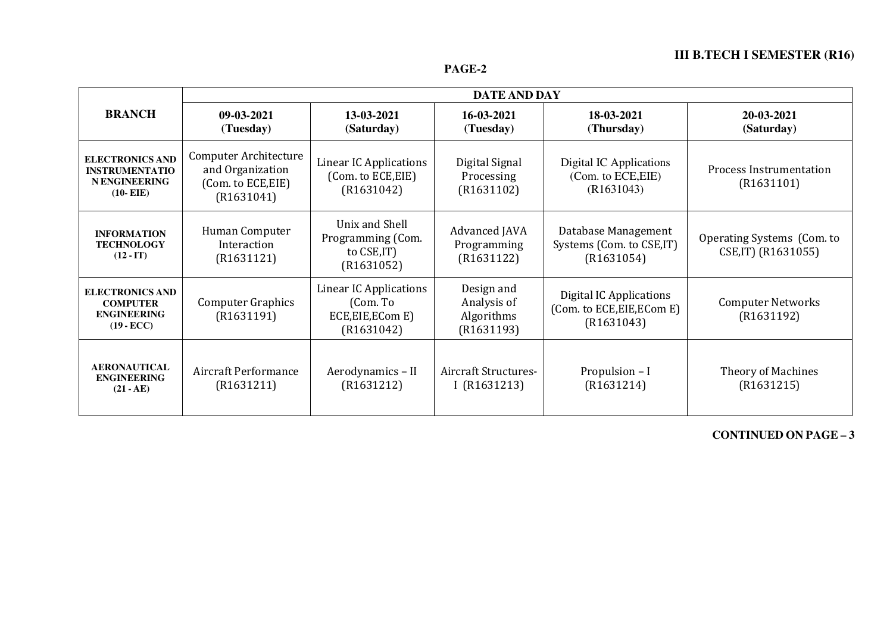# **III B.TECH I SEMESTER (R16)**

|                                                                                        | DATE AND DAY                                                                  |                                                                              |                                                       |                                                                            |                                                   |
|----------------------------------------------------------------------------------------|-------------------------------------------------------------------------------|------------------------------------------------------------------------------|-------------------------------------------------------|----------------------------------------------------------------------------|---------------------------------------------------|
| <b>BRANCH</b>                                                                          | 09-03-2021<br>(Tuesday)                                                       | 13-03-2021<br>(Saturday)                                                     | 16-03-2021<br>(Tuesday)                               | 18-03-2021<br>(Thursday)                                                   | 20-03-2021<br>(Saturday)                          |
| <b>ELECTRONICS AND</b><br><b>INSTRUMENTATIO</b><br><b>NENGINEERING</b><br>$(10 - EIE)$ | Computer Architecture<br>and Organization<br>(Com. to ECE, EIE)<br>(R1631041) | <b>Linear IC Applications</b><br>(Com. to ECE, EIE)<br>(R1631042)            | Digital Signal<br>Processing<br>(R1631102)            | Digital IC Applications<br>(Com. to ECE, EIE)<br>(R1631043)                | <b>Process Instrumentation</b><br>(R1631101)      |
| <b>INFORMATION</b><br><b>TECHNOLOGY</b><br>$(12 - IT)$                                 | Human Computer<br>Interaction<br>(R1631121)                                   | Unix and Shell<br>Programming (Com.<br>to CSE, IT)<br>(R1631052)             | Advanced JAVA<br>Programming<br>(R1631122)            | Database Management<br>Systems (Com. to CSE, IT)<br>(R1631054)             | Operating Systems (Com. to<br>CSE, IT) (R1631055) |
| <b>ELECTRONICS AND</b><br><b>COMPUTER</b><br><b>ENGINEERING</b><br>$(19 - ECC)$        | <b>Computer Graphics</b><br>(R1631191)                                        | <b>Linear IC Applications</b><br>(Com. To<br>ECE, EIE, ECom E)<br>(R1631042) | Design and<br>Analysis of<br>Algorithms<br>(R1631193) | <b>Digital IC Applications</b><br>(Com. to ECE, EIE, ECom E)<br>(R1631043) | <b>Computer Networks</b><br>(R1631192)            |
| <b>AERONAUTICAL</b><br><b>ENGINEERING</b><br>$(21 - AE)$                               | Aircraft Performance<br>(R1631211)                                            | Aerodynamics - II<br>(R1631212)                                              | <b>Aircraft Structures-</b><br>I $(R1631213)$         | Propulsion - I<br>(R1631214)                                               | <b>Theory of Machines</b><br>(R1631215)           |

**CONTINUED ON PAGE – <sup>3</sup>**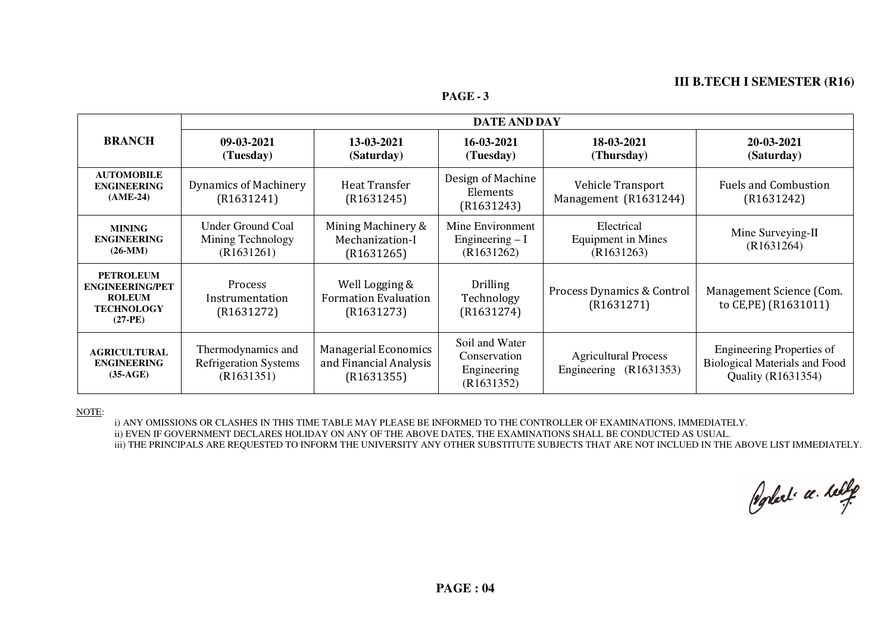# **III B.TECH I SEMESTER (R16)**

**PAGE - <sup>3</sup>**

|                                                                                               | <b>DATE AND DAY</b>                                              |                                                                     |                                                             |                                                       |                                                                                                |
|-----------------------------------------------------------------------------------------------|------------------------------------------------------------------|---------------------------------------------------------------------|-------------------------------------------------------------|-------------------------------------------------------|------------------------------------------------------------------------------------------------|
| <b>BRANCH</b>                                                                                 | 09-03-2021<br>(Tuesday)                                          | 13-03-2021<br>(Saturday)                                            | 16-03-2021<br>(Tuesday)                                     | 18-03-2021<br>(Thursday)                              | 20-03-2021<br>(Saturday)                                                                       |
| <b>AUTOMOBILE</b><br><b>ENGINEERING</b><br>$(AME-24)$                                         | <b>Dynamics of Machinery</b><br>(R1631241)                       | <b>Heat Transfer</b><br>(R1631245)                                  | Design of Machine<br>Elements<br>(R1631243)                 | Vehicle Transport<br>Management (R1631244)            | <b>Fuels and Combustion</b><br>(R1631242)                                                      |
| <b>MINING</b><br><b>ENGINEERING</b><br>$(26-MM)$                                              | <b>Under Ground Coal</b><br>Mining Technology<br>(R1631261)      | Mining Machinery &<br>Mechanization-I<br>(R1631265)                 | Mine Environment<br>Engineering $-I$<br>(R1631262)          | Electrical<br>Equipment in Mines<br>(R1631263)        | Mine Surveying-II<br>(R1631264)                                                                |
| <b>PETROLEUM</b><br><b>ENGINEERING/PET</b><br><b>ROLEUM</b><br><b>TECHNOLOGY</b><br>$(27-PE)$ | <b>Process</b><br>Instrumentation<br>(R1631272)                  | Well Logging &<br><b>Formation Evaluation</b><br>(R1631273)         | Drilling<br>Technology<br>(R1631274)                        | Process Dynamics & Control<br>(R1631271)              | Management Science (Com.<br>to CE, PE) (R1631011)                                              |
| <b>AGRICULTURAL</b><br><b>ENGINEERING</b><br>$(35-AGE)$                                       | Thermodynamics and<br><b>Refrigeration Systems</b><br>(R1631351) | <b>Managerial Economics</b><br>and Financial Analysis<br>(R1631355) | Soil and Water<br>Conservation<br>Engineering<br>(R1631352) | <b>Agricultural Process</b><br>Engineering (R1631353) | Engineering Properties of<br><b>Biological Materials and Food</b><br><b>Quality (R1631354)</b> |

#### NOTE:

i) ANY OMISSIONS OR CLASHES IN THIS TIME TABLE MAY PLEASE BE INFORMED TO THE CONTROLLER OF EXAMINATIONS, IMMEDIATELY. ii) EVEN IF GOVERNMENT DECLARES HOLIDAY ON ANY OF THE ABOVE DATES, THE EXAMINATIONS SHALL BE CONDUCTED AS USUAL. iii) THE PRINCIPALS ARE REQUESTED TO INFORM THE UNIVERSITY ANY OTHER SUBSTITUTE SUBJECTS THAT ARE NOT INCLUED IN THE ABOVE LIST IMMEDIATELY.

Poplet a telle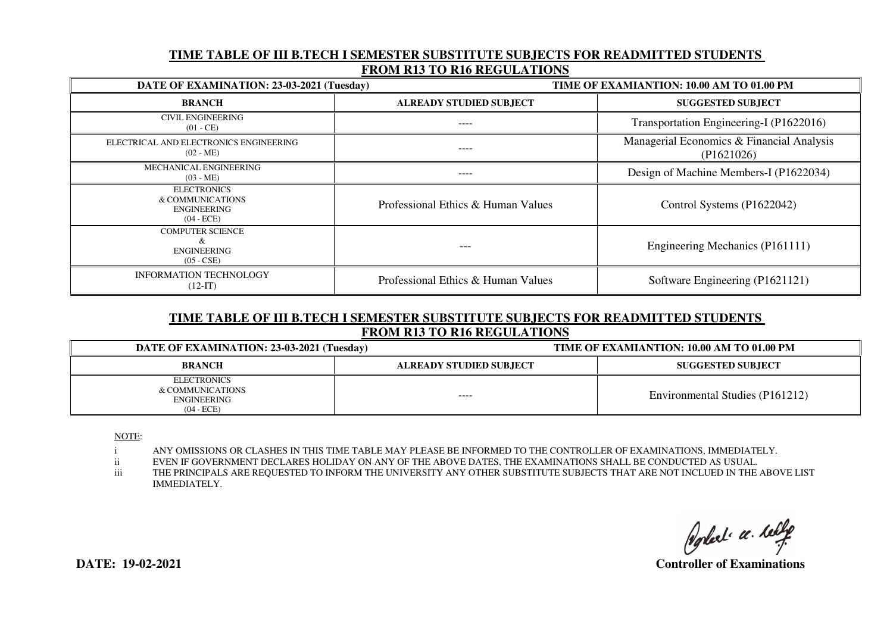### **TIME TABLE OF III B.TECH I SEMESTER SUBSTITUTE SUBJECTS FOR READMITTED STUDENTS FROM R13 TO R16 REGULATIONS**

| DATE OF EXAMINATION: 23-03-2021 (Tuesday)                                    |                                    | TIME OF EXAMIANTION: 10.00 AM TO 01.00 PM               |  |
|------------------------------------------------------------------------------|------------------------------------|---------------------------------------------------------|--|
| <b>BRANCH</b>                                                                | <b>ALREADY STUDIED SUBJECT</b>     | <b>SUGGESTED SUBJECT</b>                                |  |
| <b>CIVIL ENGINEERING</b><br>$(01 - CE)$                                      | ----                               | Transportation Engineering-I (P1622016)                 |  |
| ELECTRICAL AND ELECTRONICS ENGINEERING<br>$(02 - ME)$                        | ----                               | Managerial Economics & Financial Analysis<br>(P1621026) |  |
| MECHANICAL ENGINEERING<br>$(03 - ME)$                                        | ----                               | Design of Machine Members-I (P1622034)                  |  |
| <b>ELECTRONICS</b><br>& COMMUNICATIONS<br><b>ENGINEERING</b><br>$(04 - ECE)$ | Professional Ethics & Human Values | Control Systems (P1622042)                              |  |
| <b>COMPUTER SCIENCE</b><br>X.<br><b>ENGINEERING</b><br>$(05 - CSE)$          | ---                                | Engineering Mechanics (P161111)                         |  |
| <b>INFORMATION TECHNOLOGY</b><br>$(12-IT)$                                   | Professional Ethics & Human Values | Software Engineering (P1621121)                         |  |

## **TIME TABLE OF III B.TECH I SEMESTER SUBSTITUTE SUBJECTS FOR READMITTED STUDENTS FROM R13 TO R16 REGULATIONS**

| DATE OF EXAMINATION: 23-03-2021 (Tuesday)                             |                                | TIME OF EXAMIANTION: 10.00 AM TO 01.00 PM |  |  |
|-----------------------------------------------------------------------|--------------------------------|-------------------------------------------|--|--|
| <b>BRANCH</b>                                                         | <b>ALREADY STUDIED SUBJECT</b> | <b>SUGGESTED SUBJECT</b>                  |  |  |
| <b>ELECTRONICS</b><br>& COMMUNICATIONS<br>ENGINEERING<br>$(04 - ECE)$ | $- - - -$                      | Environmental Studies (P161212)           |  |  |

NOTE:

i ANY OMISSIONS OR CLASHES IN THIS TIME TABLE MAY PLEASE BE INFORMED TO THE CONTROLLER OF EXAMINATIONS, IMMEDIATELY.

ii EVEN IF GOVERNMENT DECLARES HOLIDAY ON ANY OF THE ABOVE DATES, THE EXAMINATIONS SHALL BE CONDUCTED AS USUAL.

 iii THE PRINCIPALS ARE REQUESTED TO INFORM THE UNIVERSITY ANY OTHER SUBSTITUTE SUBJECTS THAT ARE NOT INCLUED IN THE ABOVE LIST IMMEDIATELY.

Poplet a telle

 **DATE: 19-02-2021 Controller of Examinations**